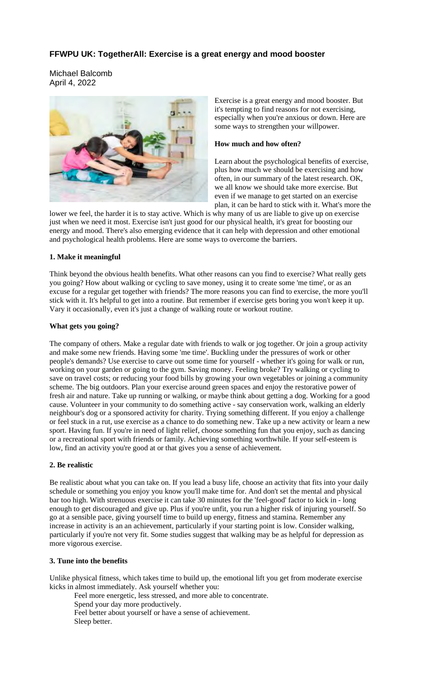# **FFWPU UK: TogetherAll: Exercise is a great energy and mood booster**

Michael Balcomb April 4, 2022



Exercise is a great energy and mood booster. But it's tempting to find reasons for not exercising, especially when you're anxious or down. Here are some ways to strengthen your willpower.

#### **How much and how often?**

Learn about the psychological benefits of exercise, plus how much we should be exercising and how often, in our summary of the latest research. OK, we all know we should take more exercise. But even if we manage to get started on an exercise plan, it can be hard to stick with it. What's more the

lower we feel, the harder it is to stay active. Which is why many of us are liable to give up on exercise just when we need it most. Exercise isn't just good for our physical health, it's great for boosting our energy and mood. There's also emerging evidence that it can help with depression and other emotional and psychological health problems. Here are some ways to overcome the barriers.

# **1. Make it meaningful**

Think beyond the obvious health benefits. What other reasons can you find to exercise? What really gets you going? How about walking or cycling to save money, using it to create some 'me time', or as an excuse for a regular get together with friends? The more reasons you can find to exercise, the more you'll stick with it. It's helpful to get into a routine. But remember if exercise gets boring you won't keep it up. Vary it occasionally, even it's just a change of walking route or workout routine.

### **What gets you going?**

The company of others. Make a regular date with friends to walk or jog together. Or join a group activity and make some new friends. Having some 'me time'. Buckling under the pressures of work or other people's demands? Use exercise to carve out some time for yourself - whether it's going for walk or run, working on your garden or going to the gym. Saving money. Feeling broke? Try walking or cycling to save on travel costs; or reducing your food bills by growing your own vegetables or joining a community scheme. The big outdoors. Plan your exercise around green spaces and enjoy the restorative power of fresh air and nature. Take up running or walking, or maybe think about getting a dog. Working for a good cause. Volunteer in your community to do something active - say conservation work, walking an elderly neighbour's dog or a sponsored activity for charity. Trying something different. If you enjoy a challenge or feel stuck in a rut, use exercise as a chance to do something new. Take up a new activity or learn a new sport. Having fun. If you're in need of light relief, choose something fun that you enjoy, such as dancing or a recreational sport with friends or family. Achieving something worthwhile. If your self-esteem is low, find an activity you're good at or that gives you a sense of achievement.

# **2. Be realistic**

Be realistic about what you can take on. If you lead a busy life, choose an activity that fits into your daily schedule or something you enjoy you know you'll make time for. And don't set the mental and physical bar too high. With strenuous exercise it can take 30 minutes for the 'feel-good' factor to kick in - long enough to get discouraged and give up. Plus if you're unfit, you run a higher risk of injuring yourself. So go at a sensible pace, giving yourself time to build up energy, fitness and stamina. Remember any increase in activity is an an achievement, particularly if your starting point is low. Consider walking, particularly if you're not very fit. Some studies suggest that walking may be as helpful for depression as more vigorous exercise.

# **3. Tune into the benefits**

Unlike physical fitness, which takes time to build up, the emotional lift you get from moderate exercise kicks in almost immediately. Ask yourself whether you:

Feel more energetic, less stressed, and more able to concentrate.

Spend your day more productively.

Feel better about yourself or have a sense of achievement. Sleep better.